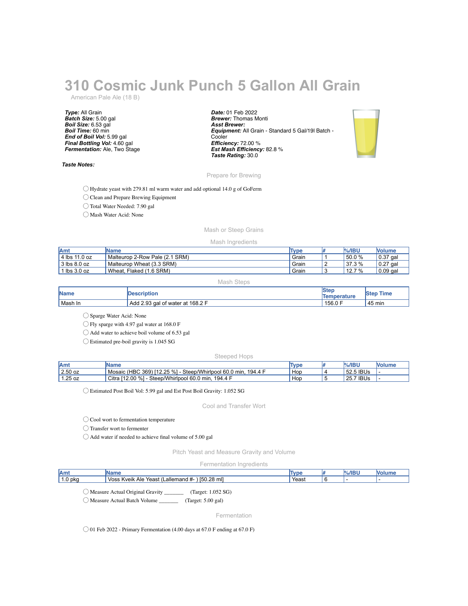# **310 Cosmic Junk Punch 5 Gallon All Grain**

American Pale Ale (18 B)

*Type:* All Grain *Batch Size:* 5.00 gal *Boil Size:* 6.53 gal *Boil Time:* 60 min *End of Boil Vol:* 5.99 gal *Final Bottling Vol:* 4.60 gal *Fermentation:* Ale, Two Stage

## *Taste Notes:*

*Date:* 01 Feb 2022 *Brewer:* Thomas Monti *Asst Brewer: Equipment:* All Grain - Standard 5 Gal/19l Batch - **Cooler** *Efficiency:* 72.00 % *Est Mash Efficiency:* 82.8 % *Taste Rating:* 30.0



### Prepare for Brewing

◯ Hydrate yeast with 279.81 ml warm water and add optional 14.0 g of GoFerm

◯ Clean and Prepare Brewing Equipment

◯ Total Water Needed: 7.90 gal

◯ Mash Water Acid: None

## Mash or Steep Grains

#### Mash Ingredients

| <b>IAmt</b>           | <b>IName</b>                   | Type  |   | $\%$ /IBU | Nolume     |
|-----------------------|--------------------------------|-------|---|-----------|------------|
| 4 lbs 11.0 oz         | Malteurop 2-Row Pale (2.1 SRM) | Grain |   | $50.0 \%$ | $0.37$ gal |
| $3$ lbs $8.0$ oz      | Malteurop Wheat (3.3 SRM)      | Grain | - | 37.3 %    | 0.27 gal   |
| $\mathsf{lbs} 3.0$ oz | Wheat.<br>Flaked (1.6 SRM)     | Grain |   | 12.7 %    | $0.09$ gal |

Mash Steps

| <b>Name</b> | <b>Description</b>               | <b>'Ster</b><br><b>Temperature</b> | Time<br><b>Step</b> |
|-------------|----------------------------------|------------------------------------|---------------------|
| Mash In     | Add 2.93 gal of water at 168.2 F | , 156.0 F                          | 45 min              |

◯ Sparge Water Acid: None

◯ Fly sparge with 4.97 gal water at 168.0 F

◯ Add water to achieve boil volume of 6.53 gal

◯ Estimated pre-boil gravity is 1.045 SG

#### Steeped Hops

| <b>JAmy</b> | IName                                                                  | <b>Type</b> | $%$ /IBU  | Molum⊾ |
|-------------|------------------------------------------------------------------------|-------------|-----------|--------|
| $2.50$ oz   | Mosaic (HBC 369) [12.25 %] -<br>Steep/Whirlpool 60.0 min.<br>. 194.4 F | Hop         | 52.5 IBUs |        |
| 1.25 oz     | Citra [12.00 %]<br>Steep/Whirlpool 60.0 min,<br>194.4 F                | Hop         | 25.7 IBUs |        |

◯ Estimated Post Boil Vol: 5.99 gal and Est Post Boil Gravity: 1.052 SG

Cool and Transfer Wort

◯ Cool wort to fermentation temperature

◯ Transfer wort to fermenter

◯ Add water if needed to achieve final volume of 5.00 gal

Pitch Yeast and Measure Gravity and Volume

Fermentation Ingredients

| Amt              | ume                                                                           | Tvn     | 70 P |  |
|------------------|-------------------------------------------------------------------------------|---------|------|--|
| 0 pkq<br>$\cdot$ | mll<br>. 28<br><b>I50.</b><br>. Voss<br>Kveik<br>Yeast<br>_allemand #-<br>Ale | ้ Yeasเ |      |  |
|                  |                                                                               |         |      |  |

◯ Measure Actual Original Gravity \_\_\_\_\_\_\_ (Target: 1.052 SG)

◯ Measure Actual Batch Volume \_\_\_\_\_\_\_ (Target: 5.00 gal)

Fermentation

 $\bigcirc$  01 Feb 2022 - Primary Fermentation (4.00 days at 67.0 F ending at 67.0 F)